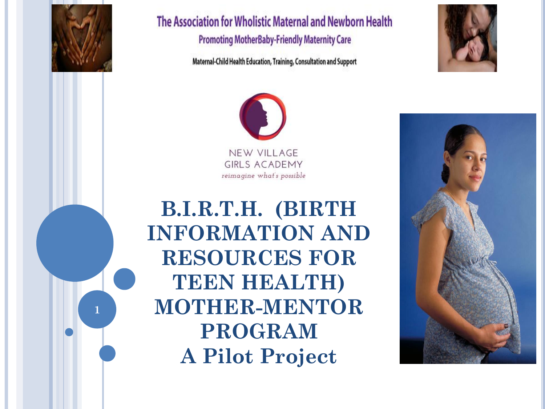

**1**

The Association for Wholistic Maternal and Newborn Health **Promoting MotherBaby-Friendly Maternity Care** 

Maternal-Child Health Education, Training, Consultation and Support





**B.I.R.T.H. (BIRTH INFORMATION AND RESOURCES FOR TEEN HEALTH) MOTHER-MENTOR PROGRAM A Pilot Project**

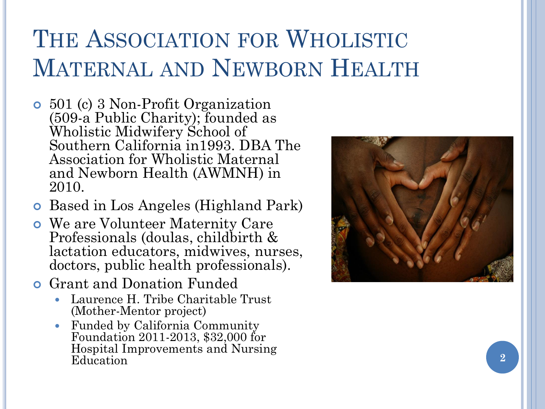# THE ASSOCIATION FOR WHOLISTIC MATERNAL AND NEWBORN HEALTH

- 501 (c) 3 Non-Profit Organization (509-a Public Charity); founded as Wholistic Midwifery School of Southern California in1993. DBA The Association for Wholistic Maternal and Newborn Health (AWMNH) in 2010.
- Based in Los Angeles (Highland Park)
- We are Volunteer Maternity Care Professionals (doulas, childbirth & lactation educators, midwives, nurses, doctors, public health professionals).
- Grant and Donation Funded
	- Laurence H. Tribe Charitable Trust (Mother-Mentor project)
	- Funded by California Community Foundation 2011-2013, \$32,000 for Hospital Improvements and Nursing Education **2**

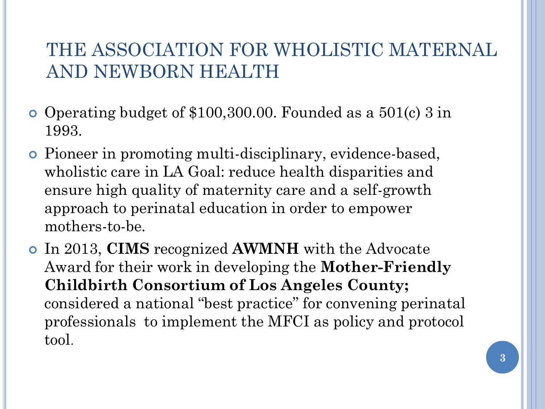#### THE ASSOCIATION FOR WHOLISTIC MATERNAL AND NEWBORN HEALTH

- Operating budget of \$100,300.00. Founded as a 501(c) 3 in 1993.
- Pioneer in promoting multi-disciplinary, evidence-based, wholistic care in LA Goal: reduce health disparities and ensure high quality of maternity care and a self-growth approach to perinatal education in order to empower mothers-to-be.
- In 2013, **CIMS** recognized **AWMNH** with the Advocate Award for their work in developing the **Mother-Friendly Childbirth Consortium of Los Angeles County;**  considered a national "best practice" for convening perinatal professionals to implement the MFCI as policy and protocol tool.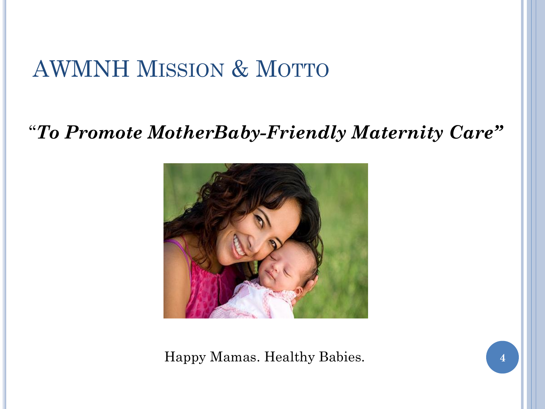## AWMNH MISSION & MOTTO

#### "*To Promote MotherBaby-Friendly Maternity Care"*



Happy Mamas. Healthy Babies. **4**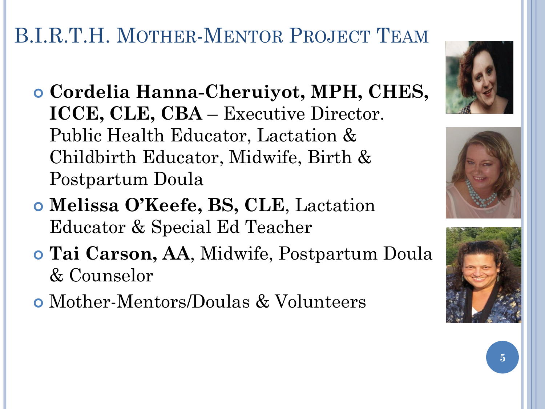## B.I.R.T.H. MOTHER-MENTOR PROJECT TEAM

- **Cordelia Hanna-Cheruiyot, MPH, CHES, ICCE, CLE, CBA** – Executive Director. Public Health Educator, Lactation & Childbirth Educator, Midwife, Birth & Postpartum Doula
- **Melissa O'Keefe, BS, CLE**, Lactation Educator & Special Ed Teacher
- **Tai Carson, AA**, Midwife, Postpartum Doula & Counselor
- Mother-Mentors/Doulas & Volunteers





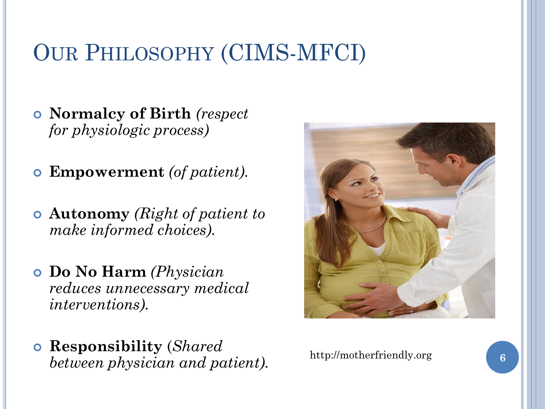# OUR PHILOSOPHY (CIMS-MFCI)

- **Normalcy of Birth** *(respect for physiologic process)*
- **Empowerment** *(of patient).*
- **Autonomy** *(Right of patient to make informed choices).*
- **Do No Harm** *(Physician reduces unnecessary medical interventions).*
- **Responsibility** (*Shared between physician and patient).*



http://motherfriendly.org **6**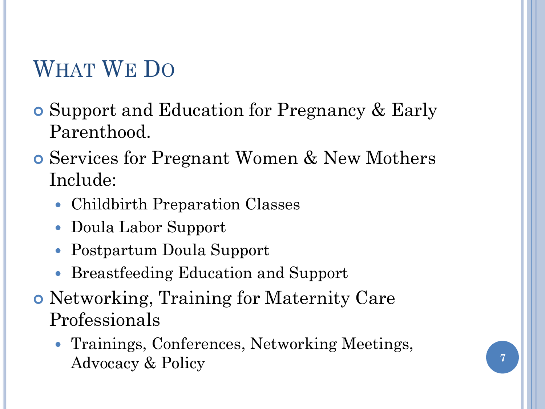## WHAT WE DO

- Support and Education for Pregnancy & Early Parenthood.
- Services for Pregnant Women & New Mothers Include:
	- Childbirth Preparation Classes
	- Doula Labor Support
	- Postpartum Doula Support
	- Breastfeeding Education and Support
- Networking, Training for Maternity Care Professionals
	- Trainings, Conferences, Networking Meetings, Advocacy & Policy **7**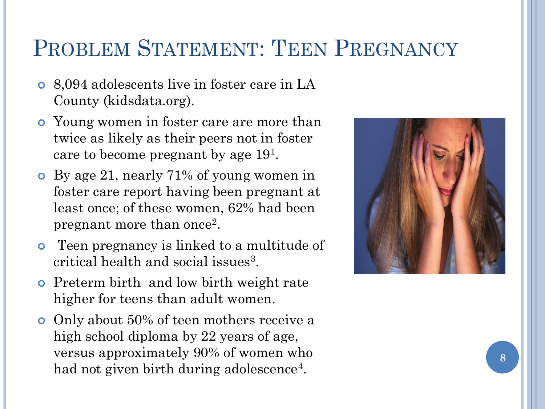## PROBLEM STATEMENT: TEEN PREGNANCY

- 8,094 adolescents live in foster care in LA County (kidsdata.org).
- Young women in foster care are more than twice as likely as their peers not in foster care to become pregnant by age 19<sup>1</sup> .
- By age 21, nearly 71% of young women in foster care report having been pregnant at least once; of these women, 62% had been pregnant more than once<sup>2</sup>.
- **•** Teen pregnancy is linked to a multitude of critical health and social issues<sup>3</sup>.
- Preterm birth and low birth weight rate higher for teens than adult women.
- Only about 50% of teen mothers receive a high school diploma by 22 years of age, versus approximately 90% of women who had not given birth during adolescence<sup>4</sup>.

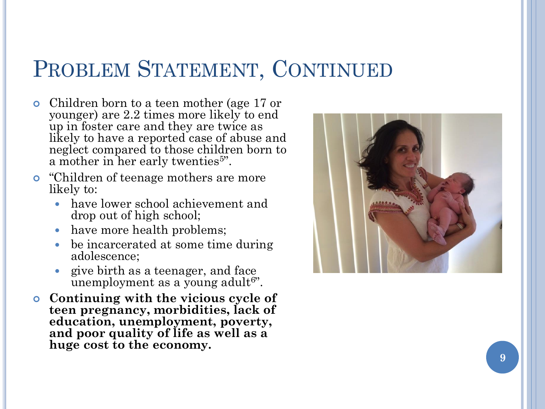## PROBLEM STATEMENT, CONTINUED

- Children born to a teen mother (age 17 or younger) are 2.2 times more likely to end up in foster care and they are twice as likely to have a reported case of abuse and neglect compared to those children born to a mother in her early twenties<sup>5"</sup>.
- "Children of teenage mothers are more likely to:
	- have lower school achievement and drop out of high school;
	- have more health problems;
	- be incarcerated at some time during adolescence;
	- give birth as a teenager, and face unemployment as a young adult<sup>6"</sup>.
- **Continuing with the vicious cycle of teen pregnancy, morbidities, lack of education, unemployment, poverty, and poor quality of life as well as a huge cost to the economy.**

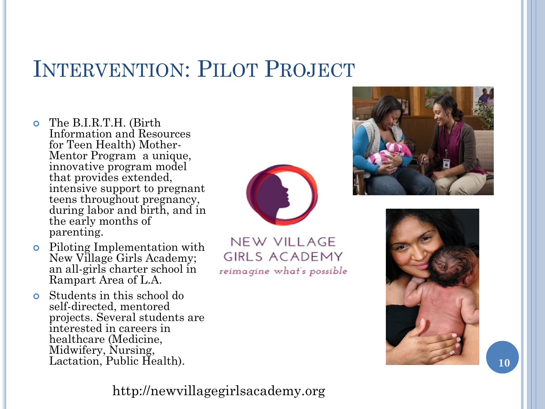## INTERVENTION: PILOT PROJECT

- The B.I.R.T.H. (Birth Information and Resources for Teen Health) Mother - Mentor Program a unique, innovative program model that provides extended, intensive support to pregnant teens throughout pregnancy, during labor and birth, and in the early months of parenting.
- Piloting Implementation with New Village Girls Academy; an all -girls charter school in Rampart Area of L.A.
- Students in this school do self -directed, mentored projects. Several students are interested in careers in healthcare (Medicine, Midwifery, Nursing, Lactation, Public Health).



**NEW VILLAGE GIRLS ACADEMY** reimagine what's possible





#### http://newvillagegirlsacademy.org

**10**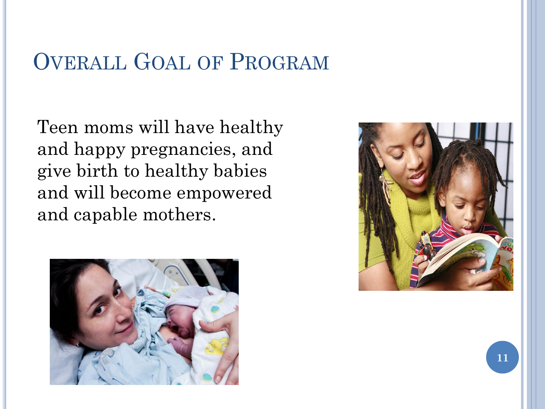## OVERALL GOAL OF PROGRAM

Teen moms will have healthy and happy pregnancies, and give birth to healthy babies and will become empowered and capable mothers.



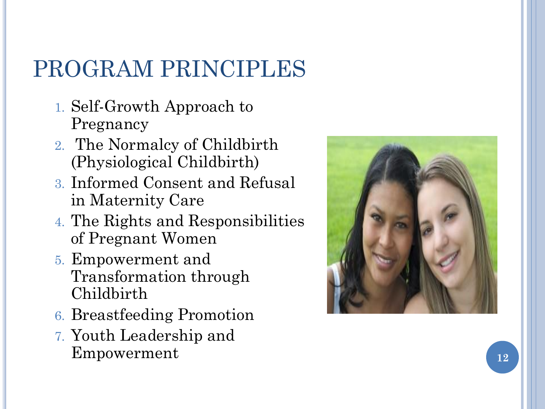# PROGRAM PRINCIPLES

- 1. Self-Growth Approach to Pregnancy
- 2. The Normalcy of Childbirth (Physiological Childbirth)
- 3. Informed Consent and Refusal in Maternity Care
- 4. The Rights and Responsibilities of Pregnant Women
- 5. Empowerment and Transformation through Childbirth
- 6. Breastfeeding Promotion
- 7. Youth Leadership and Empowerment and the set of  $\overline{12}$

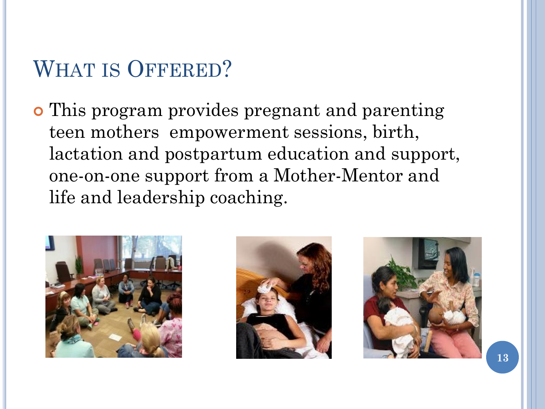## WHAT IS OFFERED?

 This program provides pregnant and parenting teen mothers empowerment sessions, birth, lactation and postpartum education and support, one-on-one support from a Mother-Mentor and life and leadership coaching.





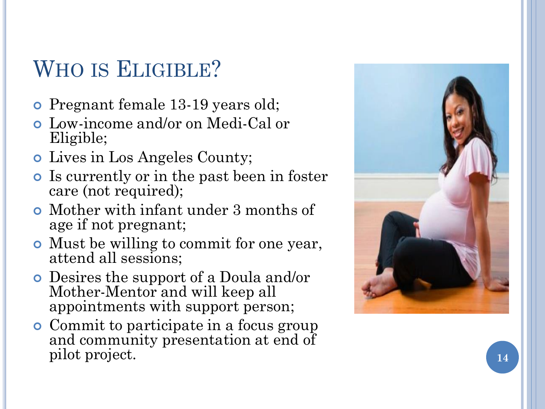## WHO IS ELIGIBLE?

- Pregnant female 13 -19 years old;
- Low -income and/or on Medi -Cal or Eligible;
- Lives in Los Angeles County;
- Is currently or in the past been in foster care (not required);
- Mother with infant under 3 months of age if not pregnant;
- Must be willing to commit for one year, attend all sessions;
- Desires the support of a Doula and/or Mother -Mentor and will keep all appointments with support person;
- Commit to participate in a focus group and community presentation at end of pilot project.

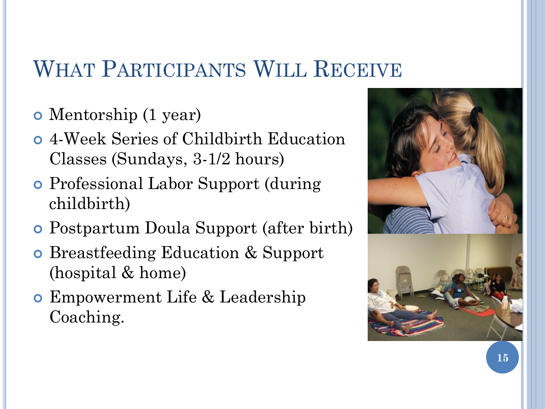## WHAT PARTICIPANTS WILL RECEIVE

- Mentorship (1 year)
- 4-Week Series of Childbirth Education Classes (Sundays, 3-1/2 hours)
- Professional Labor Support (during childbirth)
- Postpartum Doula Support (after birth)
- **o** Breastfeeding Education & Support (hospital & home)
- Empowerment Life & Leadership Coaching.

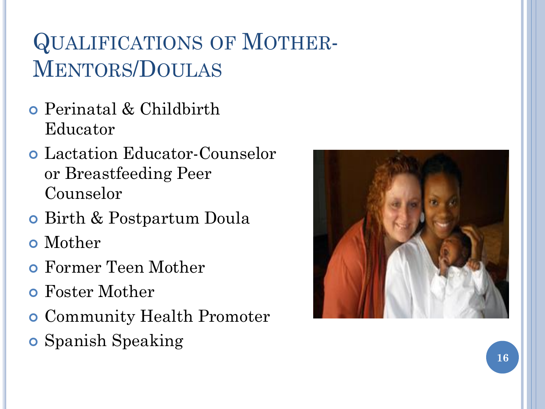# QUALIFICATIONS OF MOTHER-MENTORS/DOULAS

- Perinatal & Childbirth Educator
- Lactation Educator-Counselor or Breastfeeding Peer Counselor
- **o** Birth & Postpartum Doula
- Mother
- Former Teen Mother
- Foster Mother
- **o** Community Health Promoter
- **o** Spanish Speaking

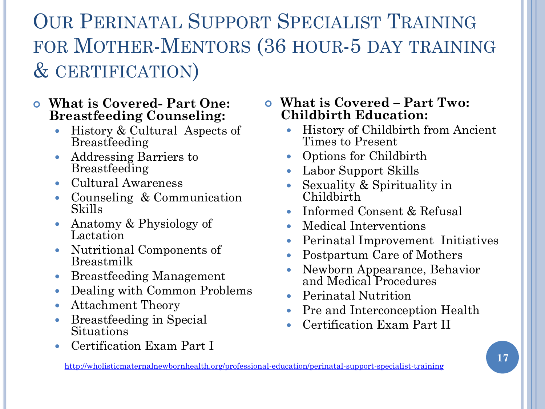OUR PERINATAL SUPPORT SPECIALIST TRAINING FOR MOTHER-MENTORS (36 HOUR-5 DAY TRAINING & CERTIFICATION)

#### **What is Covered- Part One: Breastfeeding Counseling:**

- History & Cultural Aspects of Breastfeeding
- Addressing Barriers to Breastfeeding
- Cultural Awareness
- Counseling & Communication Skills
- Anatomy & Physiology of Lactation
- Nutritional Components of Breastmilk
- Breastfeeding Management
- Dealing with Common Problems
- Attachment Theory
- Breastfeeding in Special Situations
- Certification Exam Part I

 **What is Covered – Part Two: Childbirth Education:**

- History of Childbirth from Ancient Times to Present
- Options for Childbirth
- Labor Support Skills
- Sexuality & Spirituality in Childbirth
- Informed Consent & Refusal
- Medical Interventions
- Perinatal Improvement Initiatives
- Postpartum Care of Mothers
- Newborn Appearance, Behavior and Medical Procedures
- Perinatal Nutrition
- Pre and Interconception Health
- Certification Exam Part II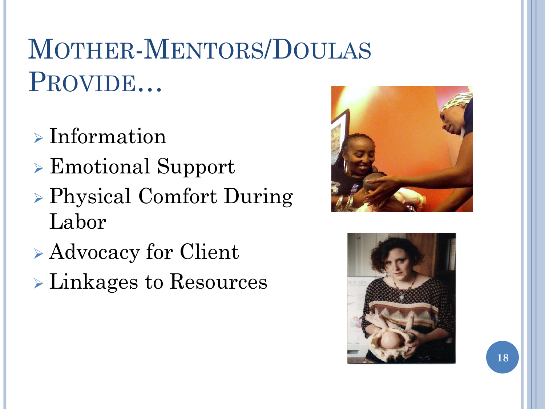# MOTHER-MENTORS/DOULAS PROVIDE…

- $\triangleright$  Information
- Emotional Support
- Physical Comfort During Labor
- Advocacy for Client
- Linkages to Resources



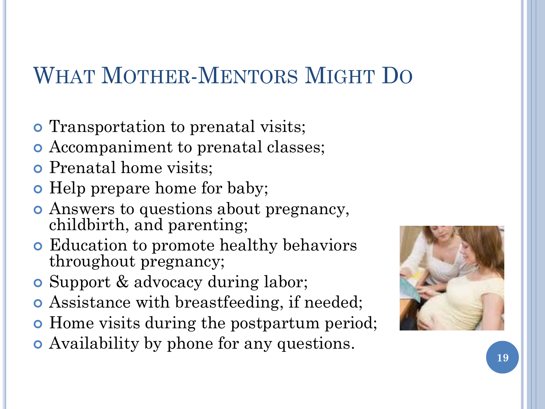# WHAT MOTHER-MENTORS MIGHT DO

- **o** Transportation to prenatal visits;
- Accompaniment to prenatal classes;
- **o** Prenatal home visits;
- Help prepare home for baby;
- Answers to questions about pregnancy, childbirth, and parenting;
- Education to promote healthy behaviors throughout pregnancy;
- **o** Support & advocacy during labor;
- Assistance with breastfeeding, if needed;
- **Home visits during the postpartum period;**
- Availability by phone for any questions.

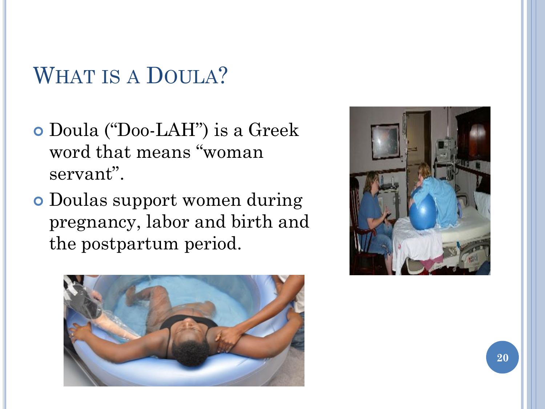## WHAT IS A DOULA?

- Doula ("Doo-LAH") is a Greek word that means "woman servant".
- Doulas support women during pregnancy, labor and birth and the postpartum period.



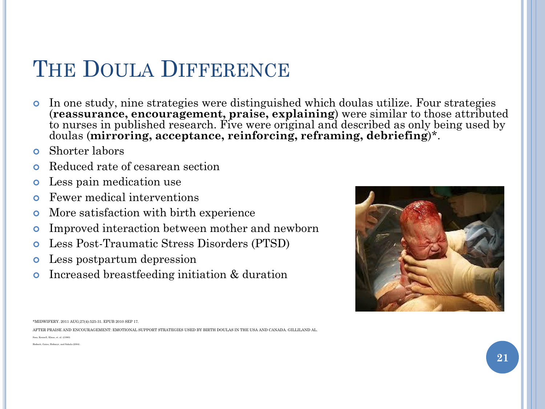## THE DOULA DIFFERENCE

- In one study, nine strategies were distinguished which doulas utilize. Four strategies (**reassurance, encouragement, praise, explaining**) were similar to those attributed to nurses in published research. Five were original and described as only being used by doulas (**mirroring, acceptance, reinforcing, reframing, debriefing**)\*.
- Shorter labors
- **o** Reduced rate of cesarean section
- Less pain medication use
- Fewer medical interventions
- More satisfaction with birth experience
- Improved interaction between mother and newborn
- Less Post-Traumatic Stress Disorders (PTSD)
- Less postpartum depression
- Increased breastfeeding initiation & duration



AFTER PRAISE AND ENCOURAGEMENT: EMOTIONAL SUPPORT STRATEGIES USED BY BIRTH DOULAS IN THE USA AND CANADA. GILLILAND AL.

Sosa, Kennell, Klaus, et. al. ((1980)

nett, Gates, Hofmeyr, and Sakala (2004)

<sup>\*</sup>MIDWIFERY. 2011 AUG;27(4):525-31. EPUB 2010 SEP 17.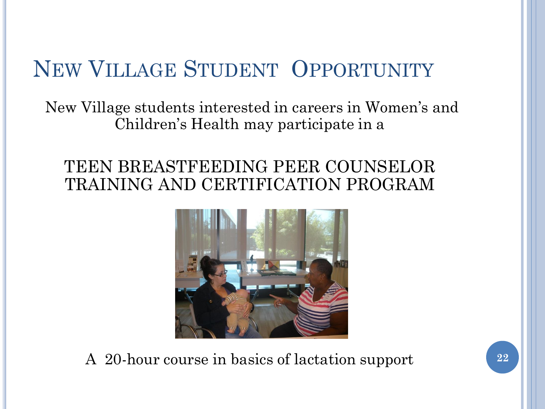## NEW VILLAGE STUDENT OPPORTUNITY

New Village students interested in careers in Women's and Children's Health may participate in a

#### TEEN BREASTFEEDING PEER COUNSELOR TRAINING AND CERTIFICATION PROGRAM



A 20-hour course in basics of lactation support **22**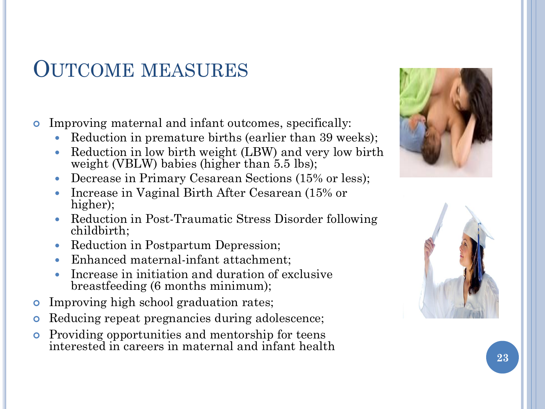### OUTCOME MEASURES

Improving maternal and infant outcomes, specifically:

- Reduction in premature births (earlier than 39 weeks);
- Reduction in low birth weight (LBW) and very low birth weight (VBLW) babies (higher than  $5.5$  lbs);
- Decrease in Primary Cesarean Sections (15% or less);
- Increase in Vaginal Birth After Cesarean (15% or higher);
- Reduction in Post-Traumatic Stress Disorder following childbirth;
- Reduction in Postpartum Depression;
- Enhanced maternal-infant attachment;
- Increase in initiation and duration of exclusive breastfeeding (6 months minimum);
- Improving high school graduation rates;
- Reducing repeat pregnancies during adolescence;
- Providing opportunities and mentorship for teens interested in careers in maternal and infant health



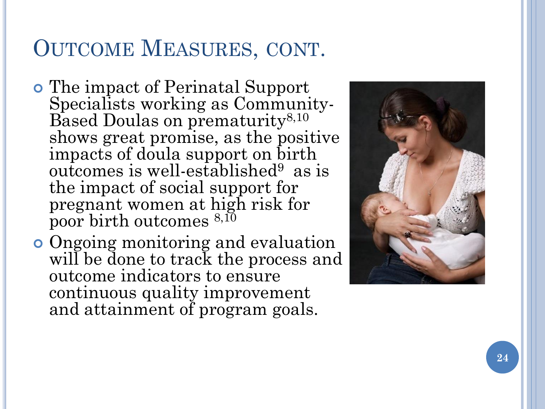## OUTCOME MEASURES, CONT .

- The impact of Perinatal Support Specialists working as Community - Based Doulas on prematurity<sup>8,10</sup> shows great promise, as the positive impacts of doula support on birth outcomes is well-established<sup>9</sup> as is the impact of social support for pregnant women at high risk for poor birth outcomes 8,10
- Ongoing monitoring and evaluation will be done to track the process and outcome indicators to ensure continuous quality improvement and attainment of program goals.

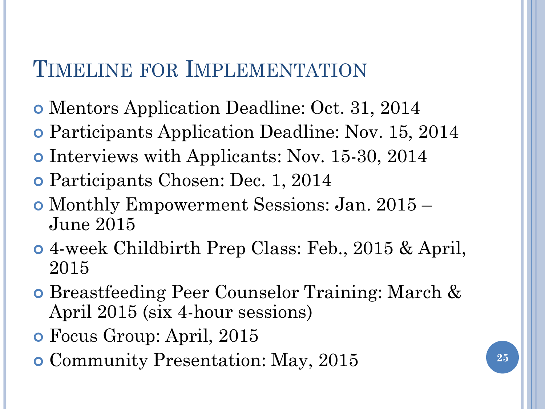## TIMELINE FOR IMPLEMENTATION

- Mentors Application Deadline: Oct. 31, 2014
- Participants Application Deadline: Nov. 15, 2014
- Interviews with Applicants: Nov. 15-30, 2014
- Participants Chosen: Dec. 1, 2014
- Monthly Empowerment Sessions: Jan. 2015 June 2015
- 4-week Childbirth Prep Class: Feb., 2015 & April, 2015
- Breastfeeding Peer Counselor Training: March & April 2015 (six 4-hour sessions)
- Focus Group: April, 2015
- Community Presentation: May, 2015 **<sup>25</sup>**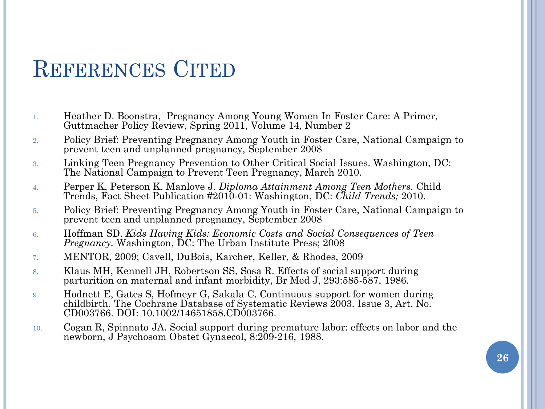### REFERENCES CITED

- 1. Heather D. Boonstra, Pregnancy Among Young Women In Foster Care: A Primer, Guttmacher Policy Review, Spring 2011, Volume 14, Number 2
- 2. Policy Brief: Preventing Pregnancy Among Youth in Foster Care, National Campaign to prevent teen and unplanned pregnancy, September 2008
- 3. Linking Teen Pregnancy Prevention to Other Critical Social Issues. Washington, DC: The National Campaign to Prevent Teen Pregnancy, March 2010.
- 4. Perper K, Peterson K, Manlove J. *Diploma Attainment Among Teen Mothers.* Child Trends, Fact Sheet Publication #2010-01: Washington, DC: *Child Trends;* 2010.
- 5. Policy Brief: Preventing Pregnancy Among Youth in Foster Care, National Campaign to prevent teen and unplanned pregnancy, September 2008
- 6. Hoffman SD. *Kids Having Kids: Economic Costs and Social Consequences of Teen Pregnancy.* Washington, DC: The Urban Institute Press; 2008
- 7. MENTOR, 2009; Cavell, DuBois, Karcher, Keller, & Rhodes, 2009
- 8. Klaus MH, Kennell JH, Robertson SS, Sosa R. Effects of social support during parturition on maternal and infant morbidity, Br Med J, 293:585-587, 1986.
- 9. Hodnett E, Gates S, Hofmeyr G, Sakala C. Continuous support for women during childbirth. The Cochrane Database of Systematic Reviews 2003. Issue 3, Art. No. CD003766. DOI: 10.1002/14651858.CD003766.
- 10. Cogan R, Spinnato JA. Social support during premature labor: effects on labor and the newborn, J Psychosom Obstet Gynaecol, 8:209-216, 1988.